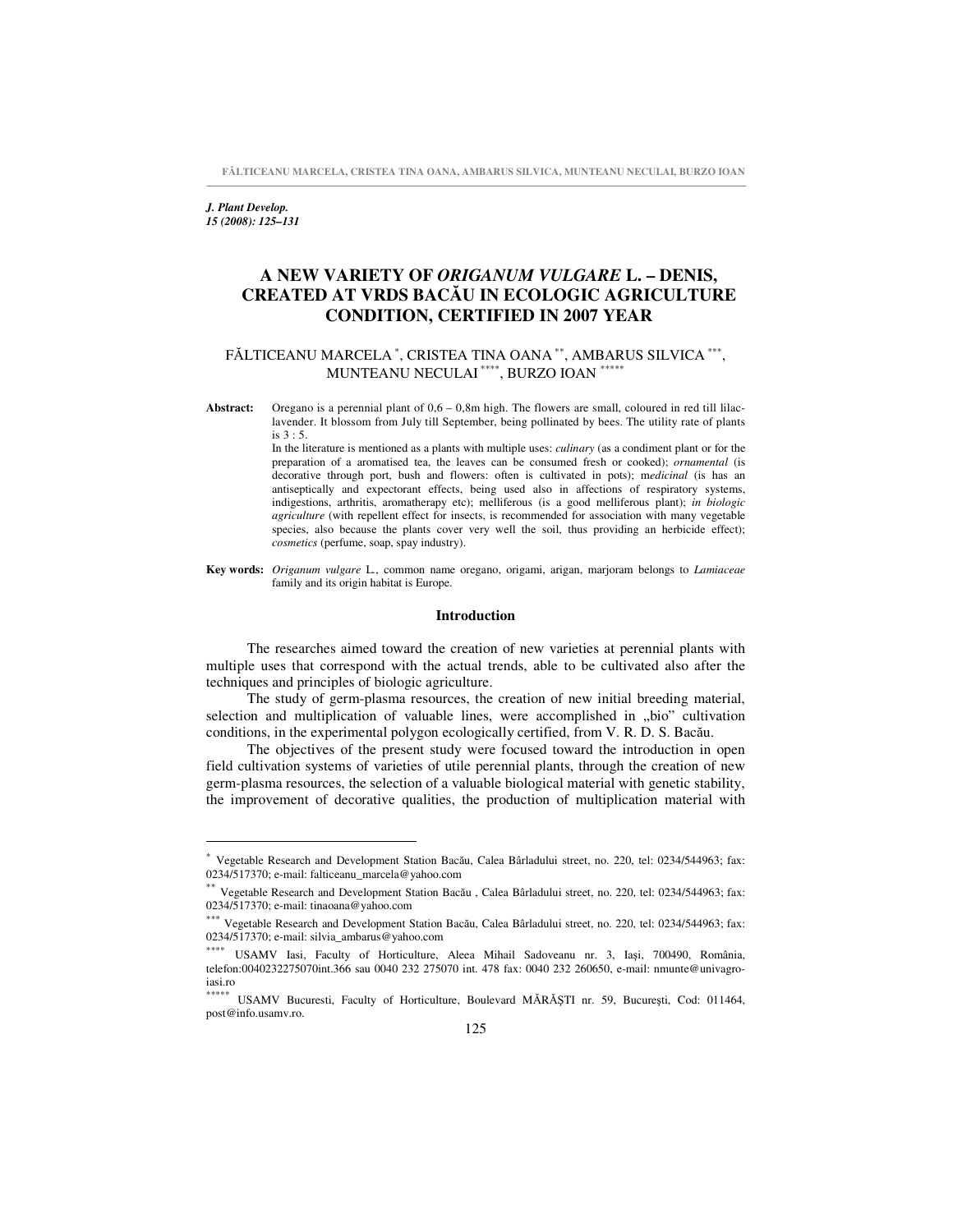**FLTICEANU MARCELA, CRISTEA TINA OANA, AMBARUS SILVICA, MUNTEANU NECULAI, BURZO IOAN**

*J. Plant Develop. 15 (2008): 125–131*

# **A NEW VARIETY OF** *ORIGANUM VULGARE* **L. – DENIS, CREATED AT VRDS BACU IN ECOLOGIC AGRICULTURE CONDITION, CERTIFIED IN 2007 YEAR**

## FĂLTICEANU MARCELA <sup>∗</sup>, CRISTEA TINA OANA <sup>∗∗</sup>, AMBARUS SILVICA <sup>∗∗∗</sup>, MUNTEANU NECULAI \*\*\*\*, BURZO IOAN \*\*\*\*\*

**Abstract:** Oregano is a perennial plant of 0,6 – 0,8m high. The flowers are small, coloured in red till lilaclavender. It blossom from July till September, being pollinated by bees. The utility rate of plants is 3 : 5.

> In the literature is mentioned as a plants with multiple uses: *culinary* (as a condiment plant or for the preparation of a aromatised tea, the leaves can be consumed fresh or cooked); *ornamental* (is decorative through port, bush and flowers: often is cultivated in pots); m*edicinal* (is has an antiseptically and expectorant effects, being used also in affections of respiratory systems, indigestions, arthritis, aromatherapy etc); melliferous (is a good melliferous plant); *in biologic agriculture* (with repellent effect for insects, is recommended for association with many vegetable species, also because the plants cover very well the soil, thus providing an herbicide effect); *cosmetics* (perfume, soap, spay industry).

**Key words:** *Origanum vulgare* L*.*, common name oregano, origami, arigan, marjoram belongs to *Lamiaceae* family and its origin habitat is Europe.

#### **Introduction**

The researches aimed toward the creation of new varieties at perennial plants with multiple uses that correspond with the actual trends, able to be cultivated also after the techniques and principles of biologic agriculture.

The study of germ-plasma resources, the creation of new initial breeding material, selection and multiplication of valuable lines, were accomplished in "bio" cultivation conditions, in the experimental polygon ecologically certified, from V. R. D. S. Bacău.

The objectives of the present study were focused toward the introduction in open field cultivation systems of varieties of utile perennial plants, through the creation of new germ-plasma resources, the selection of a valuable biological material with genetic stability, the improvement of decorative qualities, the production of multiplication material with

<sup>\*</sup> Vegetable Research and Development Station Bacău, Calea Bârladului street, no. 220, tel: 0234/544963; fax: 0234/517370; e-mail: falticeanu\_marcela@yahoo.com

<sup>\*\*</sup> Vegetable Research and Development Station Bacău, Calea Bârladului street, no. 220, tel: 0234/544963; fax: 0234/517370; e-mail: tinaoana@yahoo.com

<sup>\*\*\*</sup> Vegetable Research and Development Station Bacău, Calea Bârladului street, no. 220, tel: 0234/544963; fax: 0234/517370; e-mail: silvia\_ambarus@yahoo.com

<sup>∗∗∗∗</sup> USAMV Iasi, Faculty of Horticulture, Aleea Mihail Sadoveanu nr. 3, Iași, 700490, România, telefon:0040232275070int.366 sau 0040 232 275070 int. 478 fax: 0040 232 260650, e-mail: nmunte@univagroiasi.ro

<sup>\*\*\*\*\*</sup> USAMV Bucuresti, Faculty of Horticulture, Boulevard MĂRĂȘTI nr. 59, București, Cod: 011464, post@info.usamv.ro.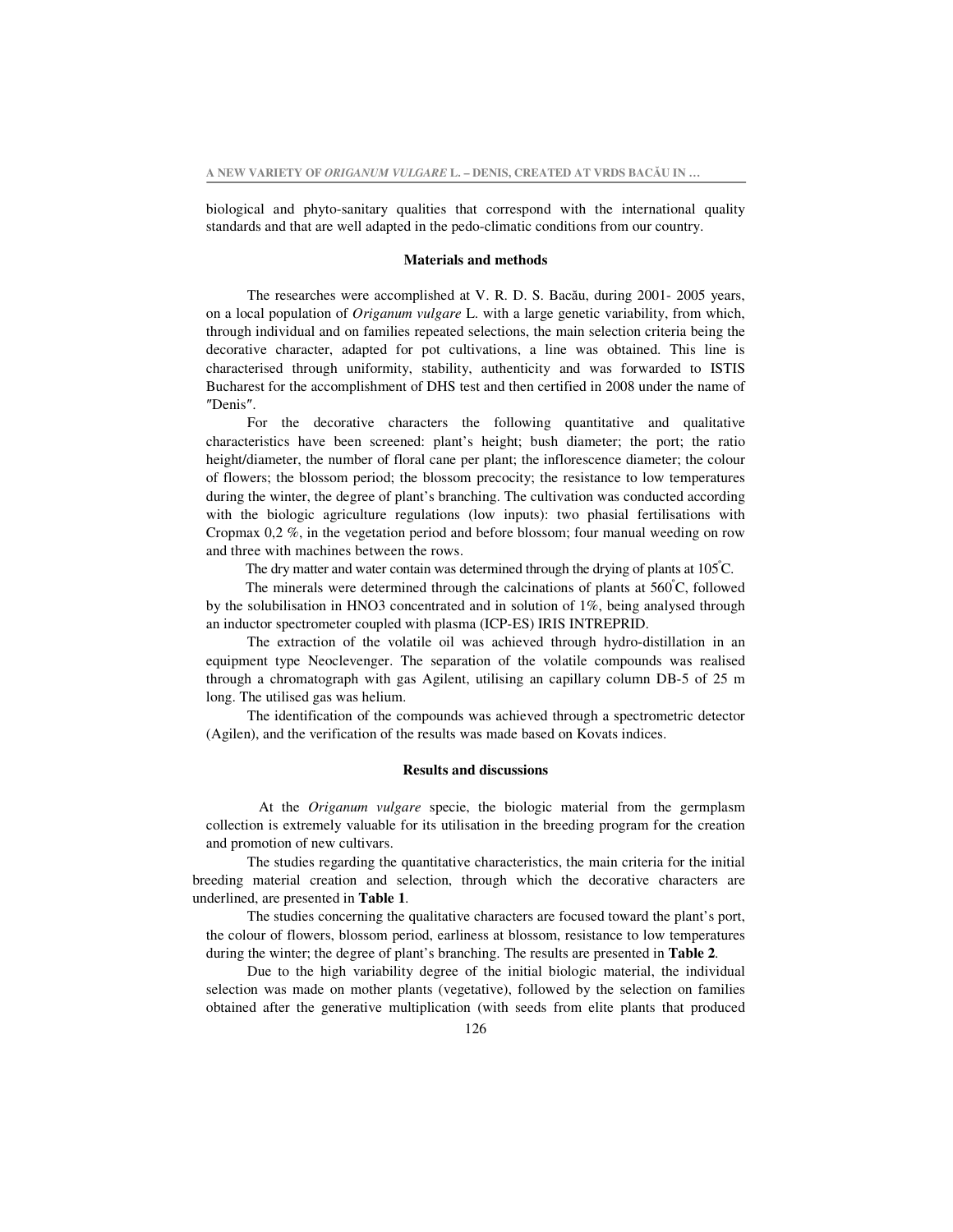biological and phyto-sanitary qualities that correspond with the international quality standards and that are well adapted in the pedo-climatic conditions from our country.

#### **Materials and methods**

The researches were accomplished at V. R. D. S. Bacău, during 2001- 2005 years, on a local population of *Origanum vulgare* L. with a large genetic variability, from which, through individual and on families repeated selections, the main selection criteria being the decorative character, adapted for pot cultivations, a line was obtained. This line is characterised through uniformity, stability, authenticity and was forwarded to ISTIS Bucharest for the accomplishment of DHS test and then certified in 2008 under the name of "Denis".

For the decorative characters the following quantitative and qualitative characteristics have been screened: plant's height; bush diameter; the port; the ratio height/diameter, the number of floral cane per plant; the inflorescence diameter; the colour of flowers; the blossom period; the blossom precocity; the resistance to low temperatures during the winter, the degree of plant's branching. The cultivation was conducted according with the biologic agriculture regulations (low inputs): two phasial fertilisations with Cropmax 0,2 %, in the vegetation period and before blossom; four manual weeding on row and three with machines between the rows.

The dry matter and water contain was determined through the drying of plants at  $105^{\circ}$ C.

The minerals were determined through the calcinations of plants at  $560^{\circ}$ C, followed by the solubilisation in HNO3 concentrated and in solution of 1%, being analysed through an inductor spectrometer coupled with plasma (ICP-ES) IRIS INTREPRID.

The extraction of the volatile oil was achieved through hydro-distillation in an equipment type Neoclevenger. The separation of the volatile compounds was realised through a chromatograph with gas Agilent, utilising an capillary column DB-5 of 25 m long. The utilised gas was helium.

The identification of the compounds was achieved through a spectrometric detector (Agilen), and the verification of the results was made based on Kovats indices.

### **Results and discussions**

At the *Origanum vulgare* specie, the biologic material from the germplasm collection is extremely valuable for its utilisation in the breeding program for the creation and promotion of new cultivars.

The studies regarding the quantitative characteristics, the main criteria for the initial breeding material creation and selection, through which the decorative characters are underlined, are presented in **Table 1**.

The studies concerning the qualitative characters are focused toward the plant's port, the colour of flowers, blossom period, earliness at blossom, resistance to low temperatures during the winter; the degree of plant's branching. The results are presented in **Table 2**.

Due to the high variability degree of the initial biologic material, the individual selection was made on mother plants (vegetative), followed by the selection on families obtained after the generative multiplication (with seeds from elite plants that produced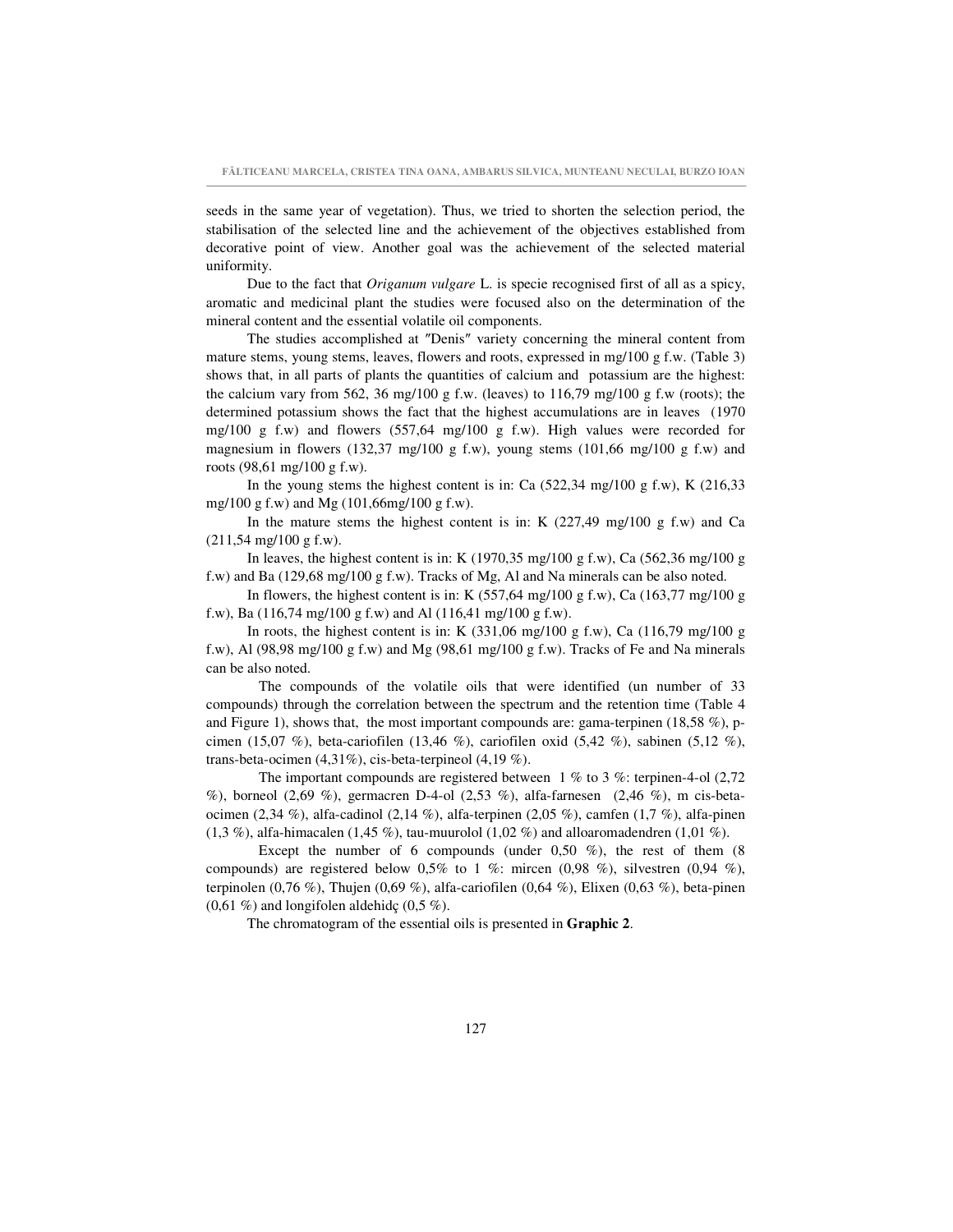seeds in the same year of vegetation). Thus, we tried to shorten the selection period, the stabilisation of the selected line and the achievement of the objectives established from decorative point of view. Another goal was the achievement of the selected material uniformity.

Due to the fact that *Origanum vulgare* L. is specie recognised first of all as a spicy, aromatic and medicinal plant the studies were focused also on the determination of the mineral content and the essential volatile oil components.

The studies accomplished at "Denis" variety concerning the mineral content from mature stems, young stems, leaves, flowers and roots, expressed in mg/100 g f.w. (Table 3) shows that, in all parts of plants the quantities of calcium and potassium are the highest: the calcium vary from 562, 36 mg/100 g f.w. (leaves) to  $116,79$  mg/100 g f.w (roots); the determined potassium shows the fact that the highest accumulations are in leaves (1970 mg/100 g f.w) and flowers  $(557,64 \text{ mg}/100 \text{ g f} \cdot \text{w})$ . High values were recorded for magnesium in flowers (132,37 mg/100 g f.w), young stems (101,66 mg/100 g f.w) and roots (98,61 mg/100 g f.w).

In the young stems the highest content is in: Ca  $(522,34 \text{ mg}/100 \text{ g f.w})$ , K  $(216,33 \text{ g/m})$ mg/100 g f.w) and Mg (101,66mg/100 g f.w).

In the mature stems the highest content is in: K  $(227,49 \text{ mg}/100 \text{ g f.w})$  and Ca (211,54 mg/100 g f.w).

In leaves, the highest content is in: K  $(1970,35 \text{ mg}/100 \text{ g f.w})$ , Ca  $(562,36 \text{ mg}/100 \text{ g}$ f.w) and Ba (129,68 mg/100 g f.w). Tracks of Mg, Al and Na minerals can be also noted.

In flowers, the highest content is in: K  $(557, 64 \text{ mg}/100 \text{ g f.w})$ , Ca  $(163, 77 \text{ mg}/100 \text{ g}$ f.w), Ba (116,74 mg/100 g f.w) and Al (116,41 mg/100 g f.w).

In roots, the highest content is in: K  $(331,06 \text{ mg}/100 \text{ g f.w})$ , Ca  $(116,79 \text{ mg}/100 \text{ g f}$ f.w), Al (98,98 mg/100 g f.w) and Mg (98,61 mg/100 g f.w). Tracks of Fe and Na minerals can be also noted.

The compounds of the volatile oils that were identified (un number of 33 compounds) through the correlation between the spectrum and the retention time (Table 4 and Figure 1), shows that, the most important compounds are: gama-terpinen (18,58 %), pcimen (15,07 %), beta-cariofilen (13,46 %), cariofilen oxid (5,42 %), sabinen (5,12 %), trans-beta-ocimen  $(4,31\%)$ , cis-beta-terpineol  $(4,19\%)$ .

The important compounds are registered between  $1\%$  to  $3\%$ : terpinen-4-ol (2,72) %), borneol (2,69 %), germacren D-4-ol (2,53 %), alfa-farnesen (2,46 %), m cis-betaocimen (2,34 %), alfa-cadinol (2,14 %), alfa-terpinen (2,05 %), camfen (1,7 %), alfa-pinen  $(1,3\%)$ , alfa-himacalen  $(1,45\%)$ , tau-muurolol  $(1,02\%)$  and alloaromadendren  $(1,01\%)$ .

Except the number of 6 compounds (under  $0.50\%$ ), the rest of them (8 compounds) are registered below 0,5% to 1 %: mircen (0,98 %), silvestren (0,94 %), terpinolen (0,76 %), Thujen (0,69 %), alfa-cariofilen (0,64 %), Elixen (0,63 %), beta-pinen  $(0,61\%)$  and longifolen aldehidç  $(0,5\%)$ .

The chromatogram of the essential oils is presented in **Graphic 2**.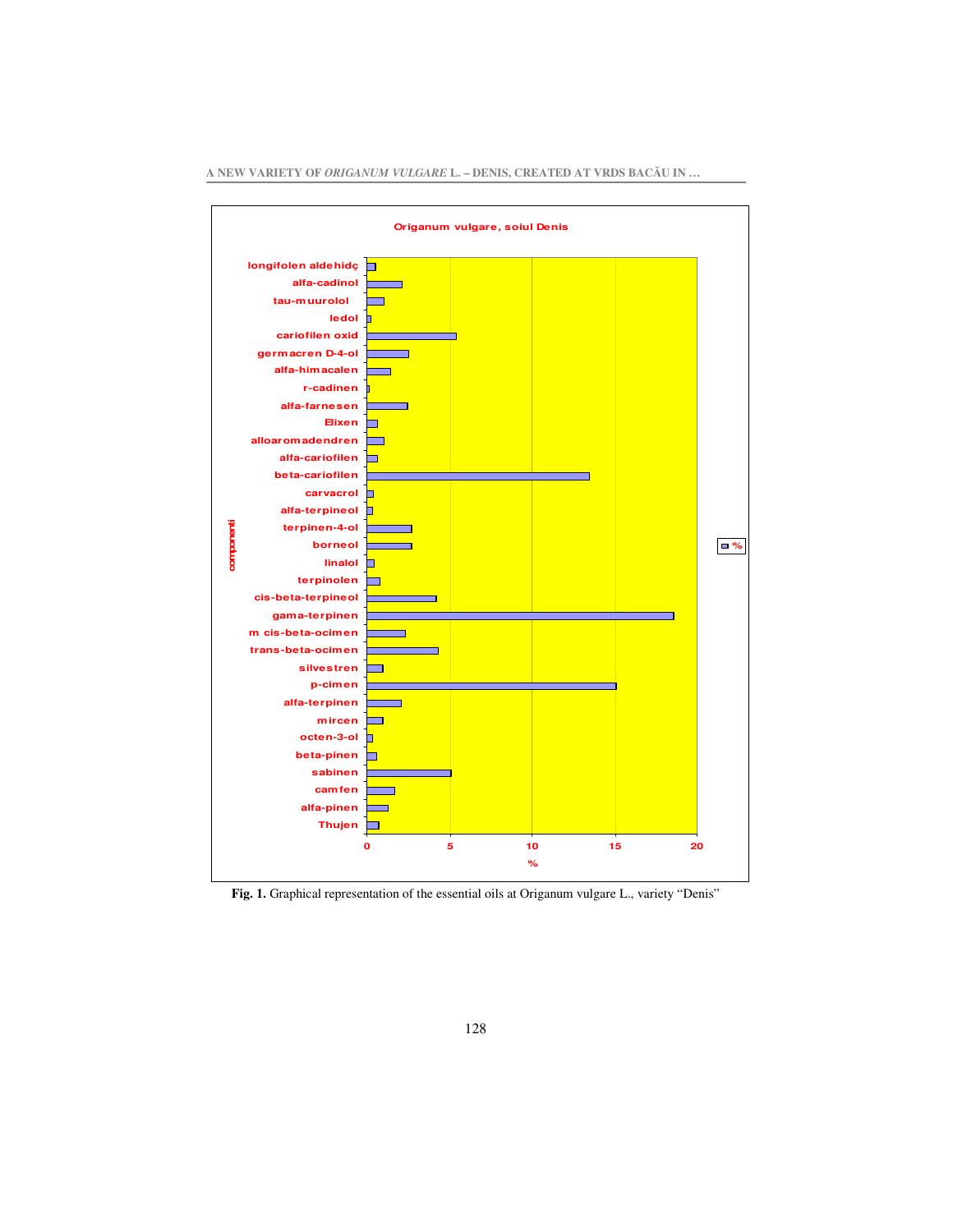

**A NEW VARIETY OF** *ORIGANUM VULGARE* **L. – DENIS, CREATED AT VRDS BACU IN …**

**Fig. 1.** Graphical representation of the essential oils at Origanum vulgare L., variety "Denis"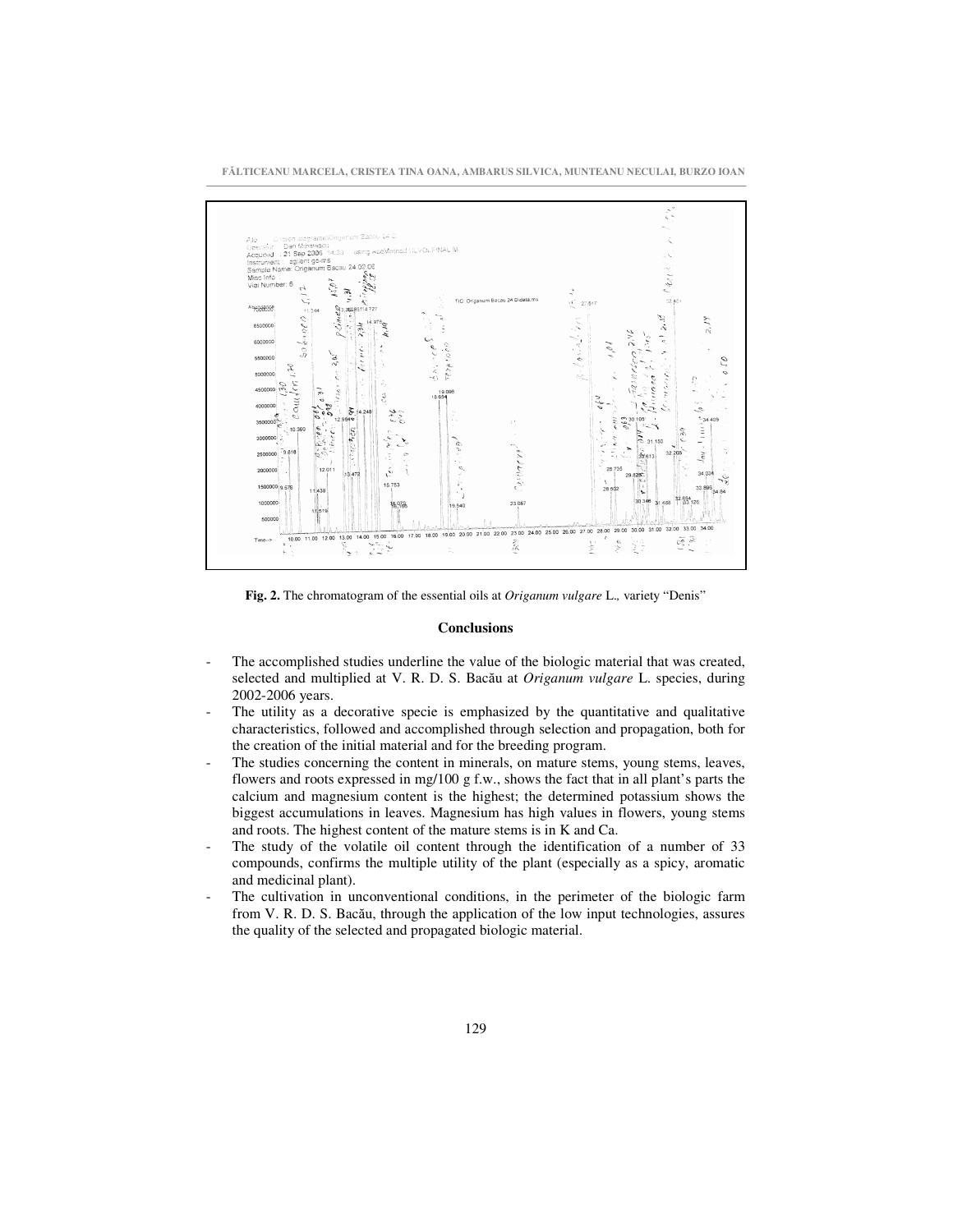**FLTICEANU MARCELA, CRISTEA TINA OANA, AMBARUS SILVICA, MUNTEANU NECULAI, BURZO IOAN**



**Fig. 2.** The chromatogram of the essential oils at *Origanum vulgare* L.*,* variety "Denis"

## **Conclusions**

- The accomplished studies underline the value of the biologic material that was created, selected and multiplied at V. R. D. S. Bacău at *Origanum vulgare* L. species, during 2002-2006 years.
- The utility as a decorative specie is emphasized by the quantitative and qualitative characteristics, followed and accomplished through selection and propagation, both for the creation of the initial material and for the breeding program.
- The studies concerning the content in minerals, on mature stems, young stems, leaves, flowers and roots expressed in mg/100 g f.w., shows the fact that in all plant's parts the calcium and magnesium content is the highest; the determined potassium shows the biggest accumulations in leaves. Magnesium has high values in flowers, young stems and roots. The highest content of the mature stems is in K and Ca.
- The study of the volatile oil content through the identification of a number of 33 compounds, confirms the multiple utility of the plant (especially as a spicy, aromatic and medicinal plant).
- The cultivation in unconventional conditions, in the perimeter of the biologic farm from V. R. D. S. Bacău, through the application of the low input technologies, assures the quality of the selected and propagated biologic material.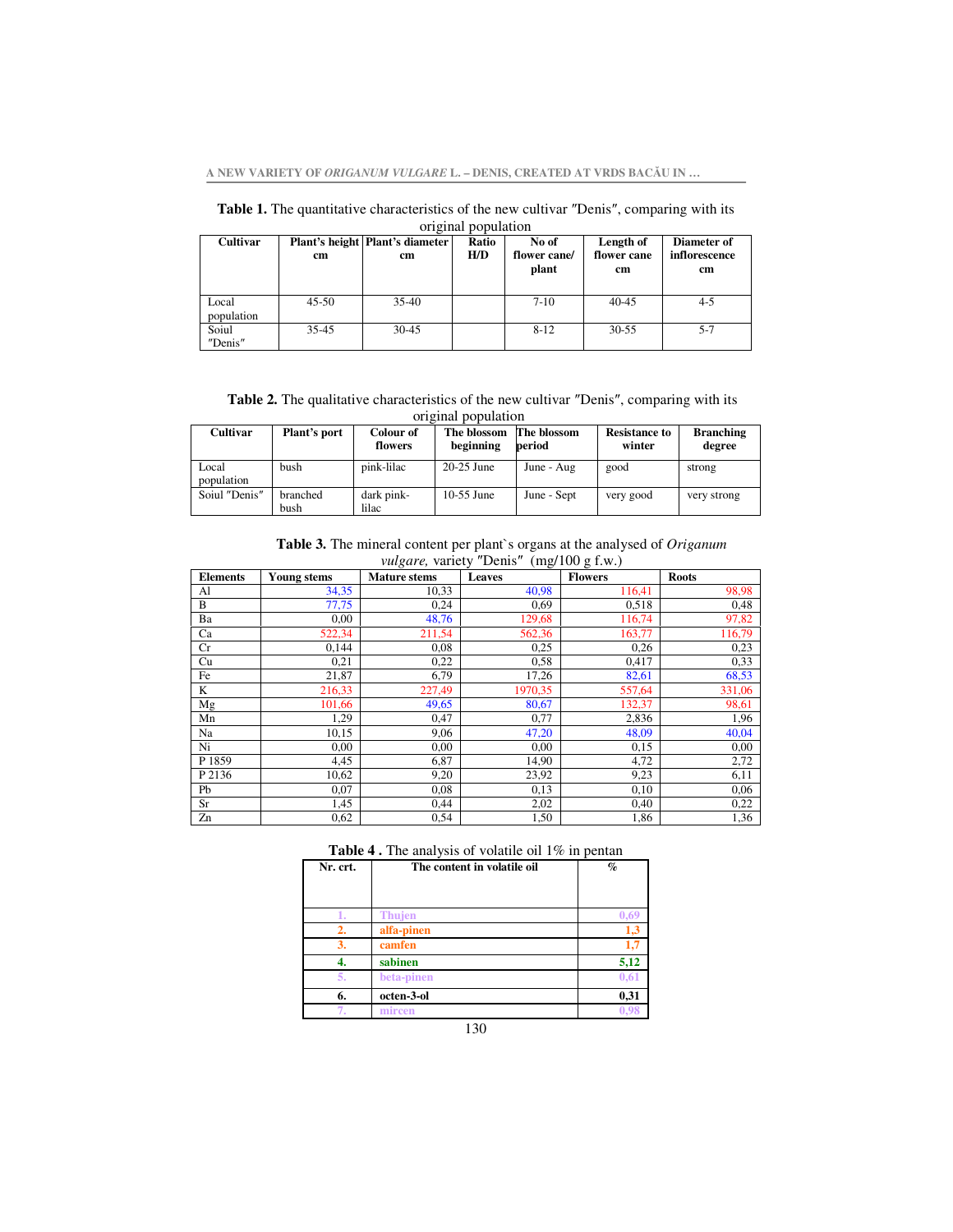**A NEW VARIETY OF** *ORIGANUM VULGARE* **L. – DENIS, CREATED AT VRDS BACU IN …**

| original population |           |                                         |              |                                |                                           |                                    |  |
|---------------------|-----------|-----------------------------------------|--------------|--------------------------------|-------------------------------------------|------------------------------------|--|
| <b>Cultivar</b>     | cm        | Plant's height   Plant's diameter<br>cm | Ratio<br>H/D | No of<br>flower cane/<br>plant | Length of<br>flower cane<br><sub>cm</sub> | Diameter of<br>inflorescence<br>cm |  |
| Local<br>population | $45 - 50$ | $35-40$                                 |              | $7-10$                         | $40 - 45$                                 | $4 - 5$                            |  |
| Soiul<br>"Denis"    | $35 - 45$ | 30-45                                   |              | $8 - 12$                       | $30 - 55$                                 | $5 - 7$                            |  |

Table 1. The quantitative characteristics of the new cultivar "Denis", comparing with its

|  | <b>Table 2.</b> The qualitative characteristics of the new cultivar "Denis", comparing with its |                     |  |  |
|--|-------------------------------------------------------------------------------------------------|---------------------|--|--|
|  |                                                                                                 | original population |  |  |
|  |                                                                                                 |                     |  |  |

| Cultivar            | Plant's port     | Colour of<br>flowers | The blossom<br>beginning | The blossom<br>period | <b>Resistance to</b><br>winter | <b>Branching</b><br>degree |
|---------------------|------------------|----------------------|--------------------------|-----------------------|--------------------------------|----------------------------|
| Local<br>population | bush             | pink-lilac           | $20-25$ June             | June - Aug            | good                           | strong                     |
| Soiul "Denis"       | branched<br>bush | dark pink-<br>lilac  | $10-55$ June             | June - Sept           | very good                      | very strong                |

**Table 3.** The mineral content per plant`s organs at the analysed of *Origanum vulgare*, variety "Denis" (mg/100 g f.w.)

|                 |                    | <i>valgure</i> , vality Dellis |               | $(\text{mg}/100 \text{ g}.1.00)$ |              |
|-----------------|--------------------|--------------------------------|---------------|----------------------------------|--------------|
| <b>Elements</b> | <b>Young stems</b> | <b>Mature stems</b>            | <b>Leaves</b> | <b>Flowers</b>                   | <b>Roots</b> |
| Al              | 34,35              | 10,33                          | 40,98         | 116,41                           | 98,98        |
| B               | 77,75              | 0.24                           | 0.69          | 0,518                            | 0,48         |
| Ba              | 0.00               | 48,76                          | 129,68        | 116,74                           | 97,82        |
| Ca              | 522,34             | 211,54                         | 562,36        | 163,77                           | 116,79       |
| Cr              | 0,144              | 0.08                           | 0.25          | 0,26                             | 0,23         |
| Cu              | 0,21               | 0.22                           | 0.58          | 0,417                            | 0,33         |
| Fe              | 21,87              | 6,79                           | 17,26         | 82,61                            | 68,53        |
| K               | 216,33             | 227,49                         | 1970,35       | 557,64                           | 331,06       |
| Mg              | 101,66             | 49,65                          | 80,67         | 132,37                           | 98,61        |
| Mn              | 1,29               | 0,47                           | 0,77          | 2,836                            | 1,96         |
| Na              | 10,15              | 9,06                           | 47,20         | 48,09                            | 40,04        |
| Ni              | 0.00               | 0,00                           | 0.00          | 0,15                             | 0,00         |
| P 1859          | 4,45               | 6,87                           | 14,90         | 4,72                             | 2,72         |
| P 2136          | 10,62              | 9,20                           | 23,92         | 9,23                             | 6,11         |
| Pb              | 0.07               | 0.08                           | 0.13          | 0,10                             | 0,06         |
| Sr              | 1,45               | 0.44                           | 2,02          | 0,40                             | 0,22         |
| Zn              | 0.62               | 0.54                           | 1,50          | 1,86                             | 1,36         |

| Nr. crt. | The content in volatile oil | $\%$ |
|----------|-----------------------------|------|
|          |                             |      |
|          |                             |      |
|          | <b>Thujen</b>               | 0.69 |
| 2.       | alfa-pinen                  | 1,3  |
| 3.       | camfen                      | 1.7  |
|          | sabinen                     | 5,12 |
| 5.       | beta-pinen                  | 0,61 |
| 6.       | octen-3-ol                  | 0,31 |
|          | mircen                      |      |